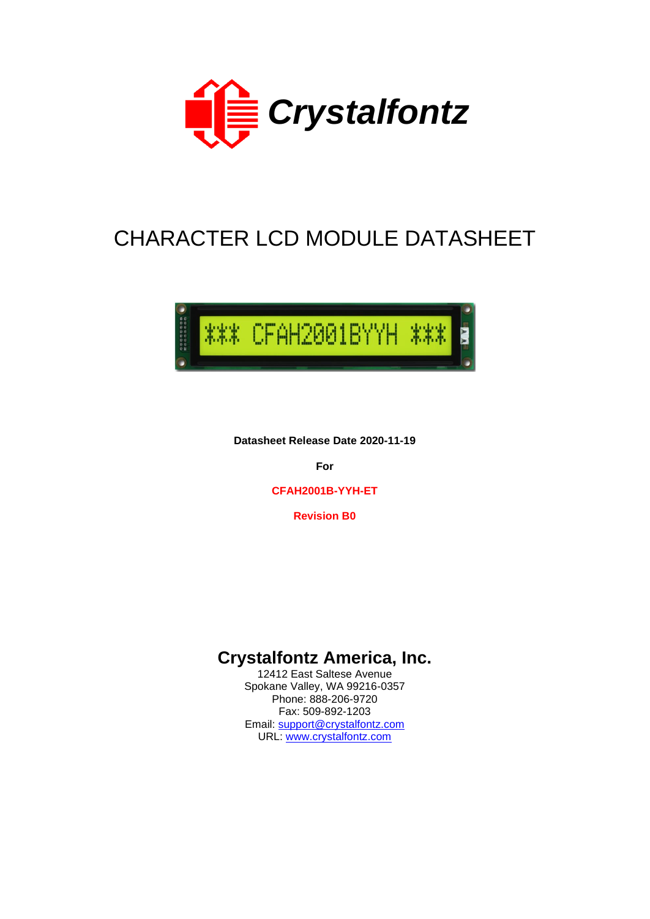

# CHARACTER LCD MODULE DATASHEET



#### **Datasheet Release Date 2020-11-19**

**For**

**CFAH2001B-YYH-ET**

**Revision B0**

### **Crystalfontz America, Inc.**

12412 East Saltese Avenue Spokane Valley, WA 99216-0357 Phone: 888-206-9720 Fax: 509-892-1203 Email: [support@crystalfontz.com](mailto:support@crystalfontz.com) URL: [www.crystalfontz.com](http://www.crystalfontz.com/)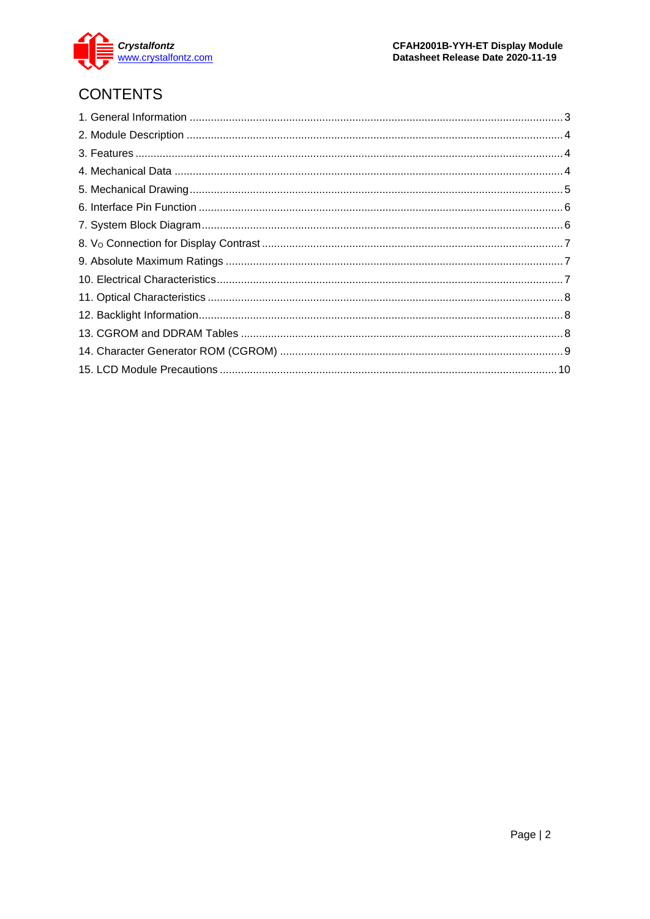

# **CONTENTS**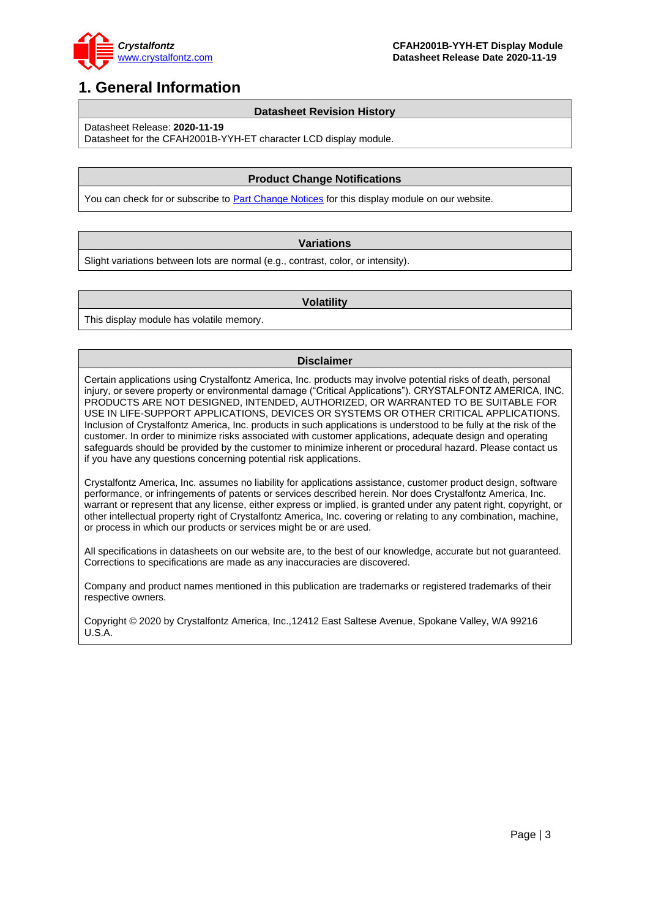

### <span id="page-2-0"></span>**1. General Information**

#### **Datasheet Revision History**

Datasheet Release: **2020-11-19**

Datasheet for the CFAH2001B-YYH-ET character LCD display module.

#### **Product Change Notifications**

You can check for or subscribe to **Part Change Notices** for this display module on our website.

#### **Variations**

Slight variations between lots are normal (e.g., contrast, color, or intensity).

#### **Volatility**

This display module has volatile memory.

#### **Disclaimer**

Certain applications using Crystalfontz America, Inc. products may involve potential risks of death, personal injury, or severe property or environmental damage ("Critical Applications"). CRYSTALFONTZ AMERICA, INC. PRODUCTS ARE NOT DESIGNED, INTENDED, AUTHORIZED, OR WARRANTED TO BE SUITABLE FOR USE IN LIFE-SUPPORT APPLICATIONS, DEVICES OR SYSTEMS OR OTHER CRITICAL APPLICATIONS. Inclusion of Crystalfontz America, Inc. products in such applications is understood to be fully at the risk of the customer. In order to minimize risks associated with customer applications, adequate design and operating safeguards should be provided by the customer to minimize inherent or procedural hazard. Please contact us if you have any questions concerning potential risk applications.

Crystalfontz America, Inc. assumes no liability for applications assistance, customer product design, software performance, or infringements of patents or services described herein. Nor does Crystalfontz America, Inc. warrant or represent that any license, either express or implied, is granted under any patent right, copyright, or other intellectual property right of Crystalfontz America, Inc. covering or relating to any combination, machine, or process in which our products or services might be or are used.

All specifications in datasheets on our website are, to the best of our knowledge, accurate but not guaranteed. Corrections to specifications are made as any inaccuracies are discovered.

Company and product names mentioned in this publication are trademarks or registered trademarks of their respective owners.

Copyright © 2020 by Crystalfontz America, Inc.,12412 East Saltese Avenue, Spokane Valley, WA 99216 U.S.A.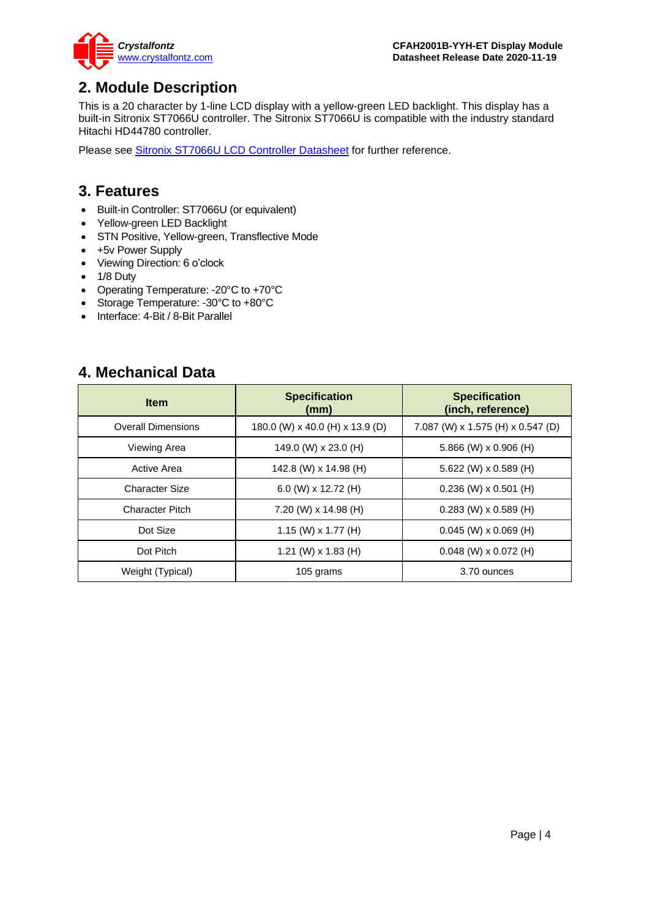

### <span id="page-3-0"></span>**2. Module Description**

This is a 20 character by 1-line LCD display with a yellow-green LED backlight. This display has a built-in Sitronix ST7066U controller. The Sitronix ST7066U is compatible with the industry standard Hitachi HD44780 controller.

Please see [Sitronix ST7066U LCD Controller Datasheet](https://www.crystalfontz.com/controllers/Sitronix/ST7066U) for further reference.

#### <span id="page-3-1"></span>**3. Features**

- Built-in Controller: ST7066U (or equivalent)
- Yellow-green LED Backlight
- STN Positive, Yellow-green, Transflective Mode
- +5v Power Supply
- Viewing Direction: 6 o'clock
- 1/8 Duty
- Operating Temperature: -20°C to +70°C
- Storage Temperature: -30°C to +80°C
- Interface: 4-Bit / 8-Bit Parallel

### <span id="page-3-2"></span>**4. Mechanical Data**

| <b>Item</b>               | <b>Specification</b><br>(mm)    | <b>Specification</b><br>(inch, reference) |  |  |  |  |  |
|---------------------------|---------------------------------|-------------------------------------------|--|--|--|--|--|
| <b>Overall Dimensions</b> | 180.0 (W) x 40.0 (H) x 13.9 (D) | 7.087 (W) x 1.575 (H) x 0.547 (D)         |  |  |  |  |  |
| Viewing Area              | 149.0 (W) x 23.0 (H)            | 5.866 (W) $\times$ 0.906 (H)              |  |  |  |  |  |
| Active Area               | 142.8 (W) x 14.98 (H)           | 5.622 (W) $\times$ 0.589 (H)              |  |  |  |  |  |
| Character Size            | 6.0 (W) $\times$ 12.72 (H)      | $0.236$ (W) x $0.501$ (H)                 |  |  |  |  |  |
| Character Pitch           | 7.20 (W) x 14.98 (H)            | $0.283$ (W) x $0.589$ (H)                 |  |  |  |  |  |
| Dot Size                  | 1.15 (W) $\times$ 1.77 (H)      | $0.045$ (W) x 0.069 (H)                   |  |  |  |  |  |
| Dot Pitch                 | 1.21 (W) $\times$ 1.83 (H)      | $0.048$ (W) x $0.072$ (H)                 |  |  |  |  |  |
| Weight (Typical)          | 105 grams                       | 3.70 ounces                               |  |  |  |  |  |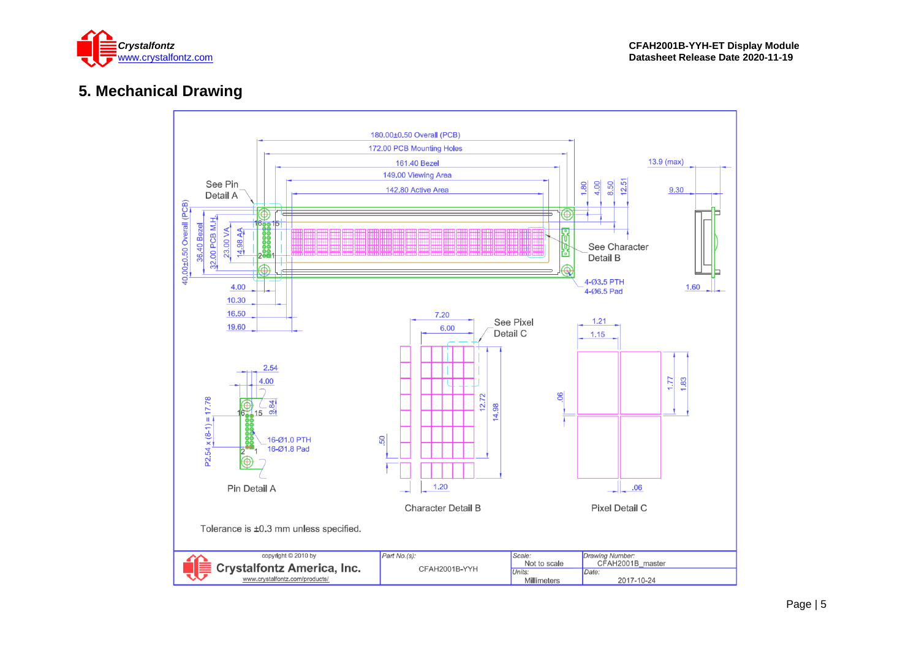

# **5. Mechanical Drawing**

<span id="page-4-0"></span>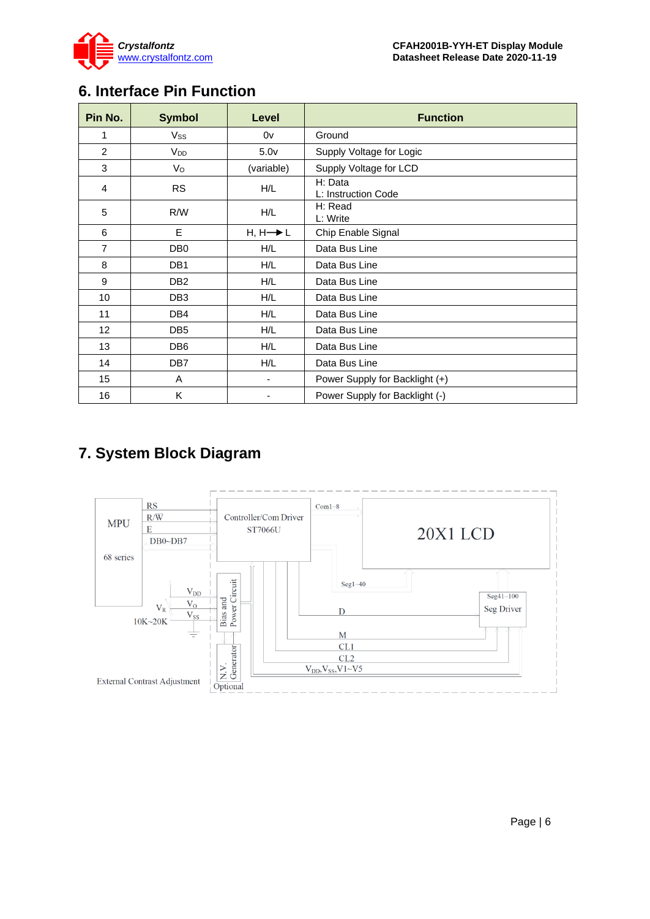

# <span id="page-5-0"></span>**6. Interface Pin Function**

| Pin No.        | <b>Symbol</b>   | Level                | <b>Function</b>                |  |  |  |  |  |  |  |
|----------------|-----------------|----------------------|--------------------------------|--|--|--|--|--|--|--|
| 1              | Vss             | 0v                   | Ground                         |  |  |  |  |  |  |  |
| $\overline{2}$ | V <sub>DD</sub> | 5.0 <sub>v</sub>     | Supply Voltage for Logic       |  |  |  |  |  |  |  |
| 3              | $V_{\rm O}$     | (variable)           | Supply Voltage for LCD         |  |  |  |  |  |  |  |
| 4              | <b>RS</b>       | H/L                  | H: Data<br>L: Instruction Code |  |  |  |  |  |  |  |
| 5              | R/W             | H/L                  | H: Read<br>L: Write            |  |  |  |  |  |  |  |
| 6              | E               | $H, H \rightarrow L$ | Chip Enable Signal             |  |  |  |  |  |  |  |
| $\overline{7}$ | DB <sub>0</sub> | H/L                  | Data Bus Line                  |  |  |  |  |  |  |  |
| 8              | DB <sub>1</sub> | H/L                  | Data Bus Line                  |  |  |  |  |  |  |  |
| 9              | DB <sub>2</sub> | H/L                  | Data Bus Line                  |  |  |  |  |  |  |  |
| 10             | DB <sub>3</sub> | H/L                  | Data Bus Line                  |  |  |  |  |  |  |  |
| 11             | DB4             | H/L                  | Data Bus Line                  |  |  |  |  |  |  |  |
| 12             | DB <sub>5</sub> | H/L                  | Data Bus Line                  |  |  |  |  |  |  |  |
| 13             | DB <sub>6</sub> | H/L                  | Data Bus Line                  |  |  |  |  |  |  |  |
| 14             | DB7             | H/L                  | Data Bus Line                  |  |  |  |  |  |  |  |
| 15             | A               | ä,                   | Power Supply for Backlight (+) |  |  |  |  |  |  |  |
| 16             | K               | -                    | Power Supply for Backlight (-) |  |  |  |  |  |  |  |

# <span id="page-5-1"></span>**7. System Block Diagram**

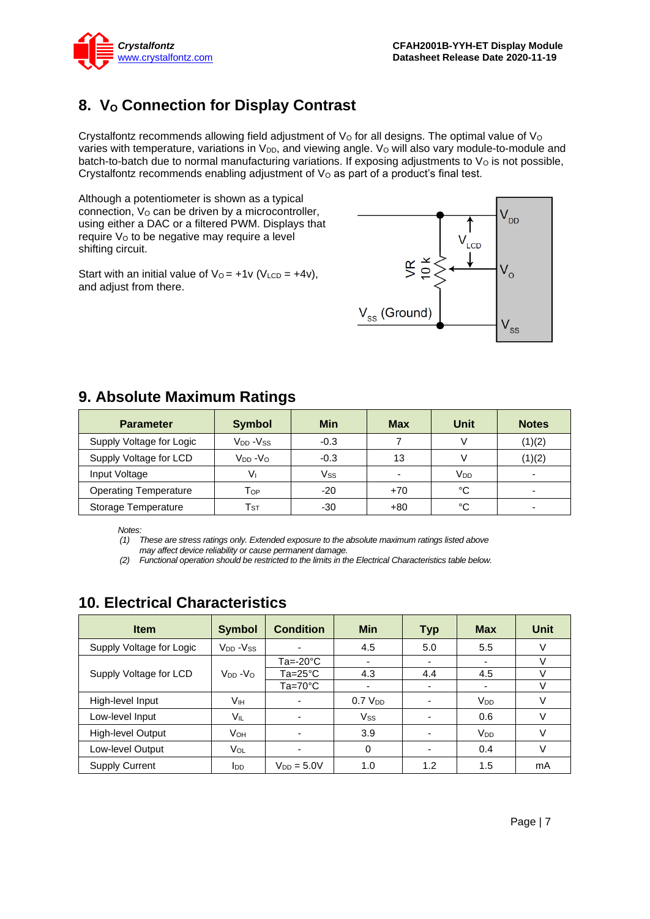

# <span id="page-6-0"></span>**8. V<sup>O</sup> Connection for Display Contrast**

Crystalfontz recommends allowing field adjustment of  $V<sub>O</sub>$  for all designs. The optimal value of  $V<sub>O</sub>$ varies with temperature, variations in V<sub>DD</sub>, and viewing angle. V<sub>O</sub> will also vary module-to-module and batch-to-batch due to normal manufacturing variations. If exposing adjustments to  $V<sub>O</sub>$  is not possible, Crystalfontz recommends enabling adjustment of  $V<sub>O</sub>$  as part of a product's final test.

Although a potentiometer is shown as a typical connection. Vo can be driven by a microcontroller, using either a DAC or a filtered PWM. Displays that require V<sub>o</sub> to be negative may require a level shifting circuit.

Start with an initial value of  $V_0 = +1v$  (V<sub>LCD</sub> =  $+4v$ ), and adjust from there.



| Symbol               | Min    | <b>Max</b> | Unit | <b>Notes</b> |
|----------------------|--------|------------|------|--------------|
| V <sub>DD</sub> -Vss | $-0.3$ |            |      | (1)(2)       |
| $V_{DD} - V_{O}$     | $-0.3$ | 13         |      | (1)(2)       |
|                      |        |            |      |              |

### <span id="page-6-1"></span>**9. Absolute Maximum Ratings**

*Notes:*

*(1) These are stress ratings only. Extended exposure to the absolute maximum ratings listed above may affect device reliability or cause permanent damage.* 

 $\blacksquare$  Input Voltage  $\blacksquare$   $\blacksquare$  V<sub>I</sub>  $\blacksquare$  V<sub>SS</sub>  $\blacksquare$   $\blacksquare$   $\blacksquare$   $\blacksquare$   $\blacksquare$   $\blacksquare$   $\blacksquare$   $\blacksquare$   $\blacksquare$   $\blacksquare$ Operating Temperature Top 1 -20 +70 °C -Storage Temperature TST -30 +80 °C -

*(2) Functional operation should be restricted to the limits in the Electrical Characteristics table below.*

#### **Item Symbol Condition Min Typ Max Unit** Supply Voltage for Logic  $\vert$  V<sub>DD</sub> -V<sub>SS</sub>  $\vert$  -  $\vert$  4.5  $\vert$  5.0  $\vert$  5.5  $\vert$  V Supply Voltage for LCD | V<sub>DD</sub> -V<sub>O</sub> Ta=-20°C | - | - | - | V Ta=25°C  $\begin{array}{|c|c|c|c|c|c|} \hline \end{array}$  4.3  $\begin{array}{|c|c|c|c|c|} \hline \end{array}$  4.5  $\begin{array}{|c|c|c|c|c|} \hline \end{array}$  V Ta=70°C | - | - | - | V High-level Input VIH - 0.7 VDD - VDD V  $\begin{array}{c|c|c|c|c|c|c|c} \hline \end{array}$  Villet VIL  $\begin{array}{c|c|c|c|c} \end{array}$  V<sub>ISS</sub> - 0.6 V High-level Output  $V_{OH}$   $\vert$  -  $\vert$  3.9  $\vert$  -  $\vert$   $V_{DD}$   $\vert$  V Low-level Output  $V_{\text{OL}}$  | - | 0.4 | V Supply Current  $\begin{vmatrix} \text{low} & \text{low} & \text{low} & \text{low} & \text{low} & \text{low} & \text{low} & \text{low} & \text{low} & \text{low} & \text{low} & \text{low} & \text{low} & \text{high} & \text{high} & \text{high} & \text{high} & \text{high} & \text{high} & \text{high} & \text{high} & \text{high} & \text{high} & \text{high} & \text{high} & \text{high} & \text{high} & \text{high} & \text{high} & \text{high} & \text{high} & \text{high} & \text{high} & \$

### <span id="page-6-2"></span>**10. Electrical Characteristics**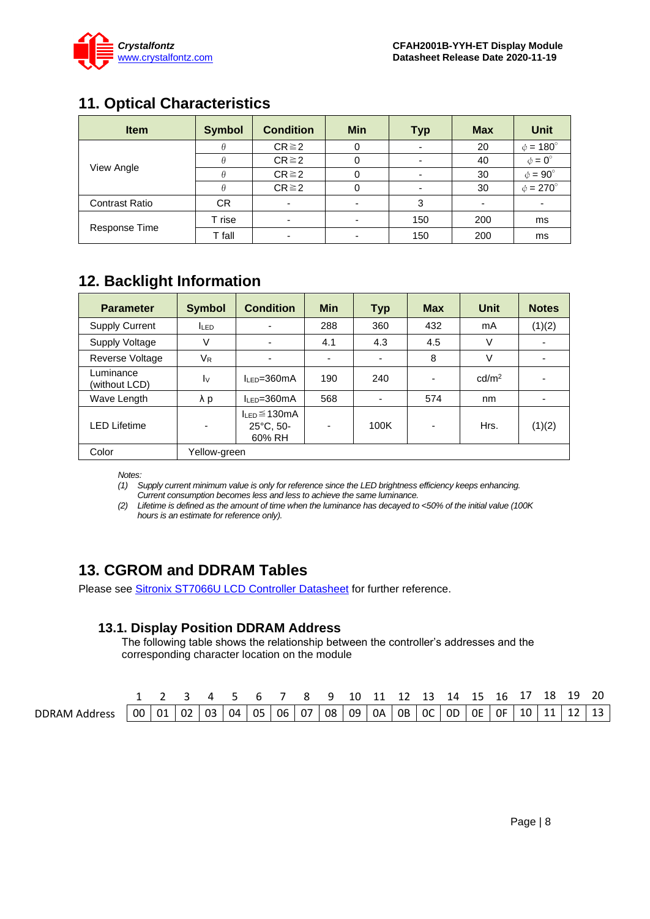

### <span id="page-7-0"></span>**11. Optical Characteristics**

| <b>Item</b>           | <b>Symbol</b> | <b>Condition</b>         | <b>Min</b> | <b>Typ</b> | <b>Max</b> | <b>Unit</b>         |
|-----------------------|---------------|--------------------------|------------|------------|------------|---------------------|
|                       |               | $CR \ge 2$               | U          |            | 20         | $\phi = 180^\circ$  |
|                       |               | $CR \ge 2$               |            |            | 40         | $\phi = 0^{\circ}$  |
| View Angle            |               | $CR \ge 2$               |            |            | 30         | $\phi = 90^{\circ}$ |
|                       |               | $CR \ge 2$               |            |            | 30         | $\phi = 270^\circ$  |
| <b>Contrast Ratio</b> | CR.           | $\overline{\phantom{0}}$ | -          | 3          |            |                     |
|                       | T rise        |                          | -          | 150        | 200        | ms                  |
| Response Time         | T fall        |                          |            | 150        | 200        | ms                  |

### <span id="page-7-1"></span>**12. Backlight Information**

| <b>Parameter</b>           | <b>Symbol</b>     | <b>Condition</b>                            | <b>Min</b>               | <b>Typ</b> | <b>Max</b> | <b>Unit</b>            | <b>Notes</b> |
|----------------------------|-------------------|---------------------------------------------|--------------------------|------------|------------|------------------------|--------------|
| <b>Supply Current</b>      | <b>ILED</b>       |                                             | 288                      | 360        | 432        | mA                     | (1)(2)       |
| <b>Supply Voltage</b>      | V                 |                                             | 4.1                      | 4.3        | 4.5        | V                      |              |
| Reverse Voltage            | $V_{R}$           | $\blacksquare$                              | $\overline{\phantom{0}}$ |            | 8          | V                      |              |
| Luminance<br>(without LCD) | $\mathsf{I} \vee$ | $l_{\text{I}}$ FD=360mA                     | 190                      | 240        |            | $\text{cd}/\text{m}^2$ |              |
| Wave Length                | $\lambda$ p       | $I_{LED} = 360mA$                           | 568                      |            | 574        | nm                     |              |
| <b>LED Lifetime</b>        | ٠                 | $l_{LED} \leq 130mA$<br>25°C, 50-<br>60% RH | ۰                        | 100K       | ۰          | Hrs.                   | (1)(2)       |
| Color                      | Yellow-green      |                                             |                          |            |            |                        |              |

*Notes:* 

*(1) Supply current minimum value is only for reference since the LED brightness efficiency keeps enhancing. Current consumption becomes less and less to achieve the same luminance.* 

*(2) Lifetime is defined as the amount of time when the luminance has decayed to <50% of the initial value (100K hours is an estimate for reference only).*

### <span id="page-7-2"></span>**13. CGROM and DDRAM Tables**

Please see **Sitronix [ST7066U LCD Controller Datasheet](https://www.crystalfontz.com/controllers/Sitronix/ST7066U)** for further reference.

#### **13.1. Display Position DDRAM Address**

The following table shows the relationship between the controller's addresses and the corresponding character location on the module

|                         |    |    | 1 2 3 4 5 6 7 8 7 |     |    |    |       | ч  | 10. |    | -17 | 13     | 14 | 15. | Ίh |      | ıx. |  |
|-------------------------|----|----|-------------------|-----|----|----|-------|----|-----|----|-----|--------|----|-----|----|------|-----|--|
| <b>DDRAM</b><br>Address | 00 | በ1 | በ2                | -03 | 04 | 05 | 06 07 | 08 | 09  | 0A | 0B  | ,   OC | 0D | 0E  | 0F | 10 I |     |  |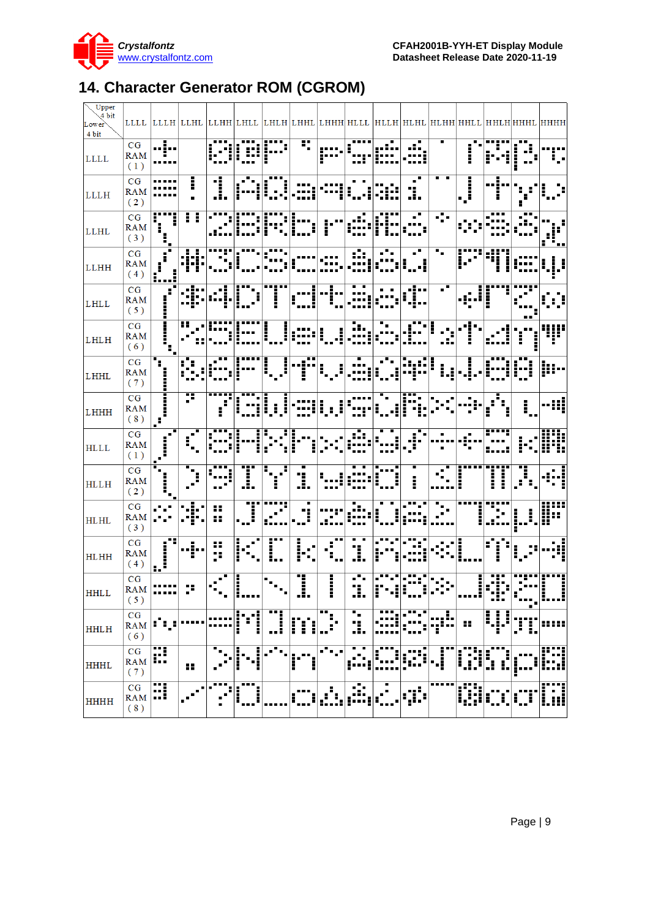

# <span id="page-8-0"></span>**14. Character Generator ROM (CGROM)**

| Upper<br>$\sqrt{4}$ bit<br>Lower<br>4 bit |                                             |         |                     |          |        |   | LLLL   LLLH   LLHL   LLHH   LHLL   LHLH   LHHL   LHHH   HLLL   HLLH   HLHL   HLHH   HHLH   HHHH   HHHH |          |   |    |                          |                                               |       |
|-------------------------------------------|---------------------------------------------|---------|---------------------|----------|--------|---|--------------------------------------------------------------------------------------------------------|----------|---|----|--------------------------|-----------------------------------------------|-------|
| <b>LLLL</b>                               | CG<br>RAM<br>(1)                            | 규.      |                     |          |        |   | π                                                                                                      |          |   |    |                          |                                               |       |
| <b>LLLH</b>                               | CG<br><b>RAM</b><br>(2)                     |         | Ī<br>$\blacksquare$ | 1        |        |   |                                                                                                        |          |   |    | $\overline{\phantom{a}}$ |                                               |       |
| <b>LLHL</b>                               | CG<br>RAM<br>(3)                            | ١.      | Π                   |          |        |   |                                                                                                        |          |   | Т. |                          |                                               |       |
| <b>LLHH</b>                               | CG<br>RAM<br>(4)                            | f!      | L.                  |          |        |   |                                                                                                        |          |   |    |                          |                                               |       |
| LHLL                                      | CG<br>RAM<br>(5)                            |         |                     |          |        |   |                                                                                                        |          |   |    |                          |                                               |       |
| LHLH                                      | CG<br>RAM<br>(6)                            | Ī       | 8                   |          |        |   |                                                                                                        |          |   |    |                          |                                               |       |
| LHHL                                      | CG<br><b>RAM</b><br>(7)                     | ٠.      |                     |          |        |   | Ē                                                                                                      |          |   | I. |                          |                                               |       |
| LHHH                                      | $\overline{\text{CG}}$<br>RAM<br>(8)        |         | Ŧ                   |          |        |   |                                                                                                        |          |   |    |                          |                                               |       |
| <b>HLLL</b>                               | $\overline{\text{CG}}$<br>RAM<br>(1)        |         |                     |          |        |   |                                                                                                        |          |   |    |                          |                                               |       |
| <b>HLLH</b>                               | CG<br><b>RAM</b><br>(2)                     |         |                     |          | .<br>I |   | Ĵ.                                                                                                     |          | ĺ |    |                          |                                               |       |
| <b>HLHL</b>                               | CG<br>RAM<br>(3)                            |         |                     | 88<br>88 | --     |   |                                                                                                        |          |   |    |                          |                                               |       |
| <b>HLHH</b>                               | CG<br><b>RAM</b><br>(4)                     |         |                     | 88       |        | m | п                                                                                                      |          |   |    |                          |                                               |       |
| <b>HHLL</b>                               | CG<br>RAM<br>(5)                            |         |                     | ■        |        |   | Ī<br>---                                                                                               |          |   |    |                          |                                               |       |
| <b>HHLH</b>                               | CG<br>$RAM \mid \cdot \cdot \mid$<br>(6)    |         |                     |          |        |   | İ<br>I                                                                                                 | ۲.<br>3. |   |    | 88                       | ֧֧֢֢֢֧֘֝֬֬ <u>֚֓</u> ֧֧֢֢֓֘׆֧<br>$\mathbf{I}$ | ,,,,, |
| <b>HHHL</b>                               | CG<br><b>RAM</b><br>(7)                     | π<br>1. | 88                  |          |        |   | Ì<br>ı                                                                                                 |          |   |    |                          |                                               |       |
| <b>HHHH</b>                               | $\mathbf{C}\mathbf{G}$<br><b>RAM</b><br>(8) | m<br>m  | a f                 |          | .      |   |                                                                                                        |          |   |    |                          |                                               | i     |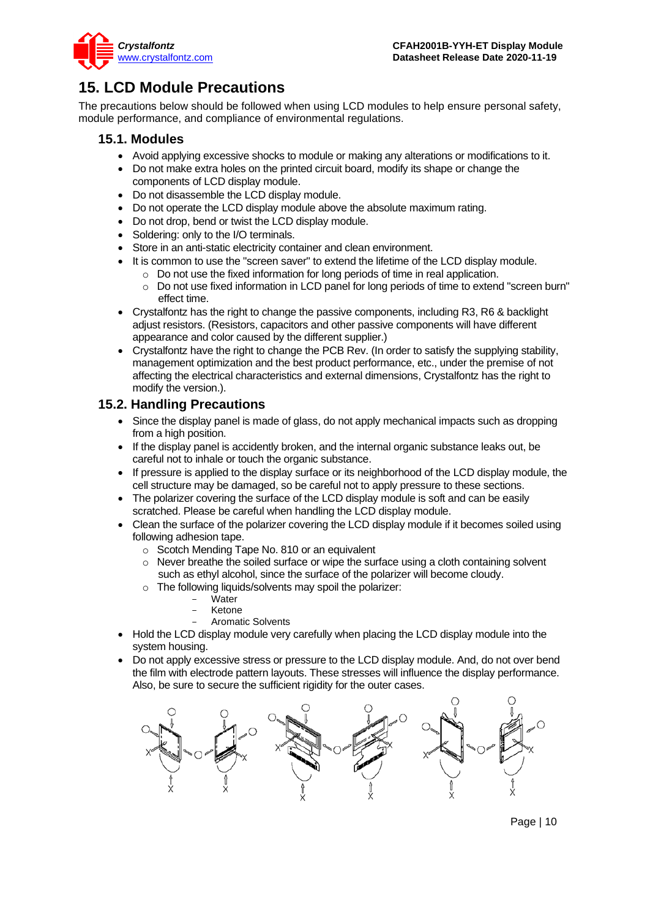

### <span id="page-9-0"></span>**15. LCD Module Precautions**

The precautions below should be followed when using LCD modules to help ensure personal safety, module performance, and compliance of environmental regulations.

#### **15.1. Modules**

- Avoid applying excessive shocks to module or making any alterations or modifications to it.
- Do not make extra holes on the printed circuit board, modify its shape or change the components of LCD display module.
- Do not disassemble the LCD display module.
- Do not operate the LCD display module above the absolute maximum rating.
- Do not drop, bend or twist the LCD display module.
- Soldering: only to the I/O terminals.
- Store in an anti-static electricity container and clean environment.
- It is common to use the "screen saver" to extend the lifetime of the LCD display module.
	- $\circ$  Do not use the fixed information for long periods of time in real application.
	- o Do not use fixed information in LCD panel for long periods of time to extend "screen burn" effect time.
- Crystalfontz has the right to change the passive components, including R3, R6 & backlight adjust resistors. (Resistors, capacitors and other passive components will have different appearance and color caused by the different supplier.)
- Crystalfontz have the right to change the PCB Rev. (In order to satisfy the supplying stability, management optimization and the best product performance, etc., under the premise of not affecting the electrical characteristics and external dimensions, Crystalfontz has the right to modify the version.).

#### **15.2. Handling Precautions**

- Since the display panel is made of glass, do not apply mechanical impacts such as dropping from a high position.
- If the display panel is accidently broken, and the internal organic substance leaks out, be careful not to inhale or touch the organic substance.
- If pressure is applied to the display surface or its neighborhood of the LCD display module, the cell structure may be damaged, so be careful not to apply pressure to these sections.
- The polarizer covering the surface of the LCD display module is soft and can be easily scratched. Please be careful when handling the LCD display module.
- Clean the surface of the polarizer covering the LCD display module if it becomes soiled using following adhesion tape.
	- o Scotch Mending Tape No. 810 or an equivalent
	- o Never breathe the soiled surface or wipe the surface using a cloth containing solvent such as ethyl alcohol, since the surface of the polarizer will become cloudy.
	- o The following liquids/solvents may spoil the polarizer:
		- Water
		- **Ketone**
		- Aromatic Solvents
- Hold the LCD display module very carefully when placing the LCD display module into the system housing.
- Do not apply excessive stress or pressure to the LCD display module. And, do not over bend the film with electrode pattern layouts. These stresses will influence the display performance. Also, be sure to secure the sufficient rigidity for the outer cases.



Page | 10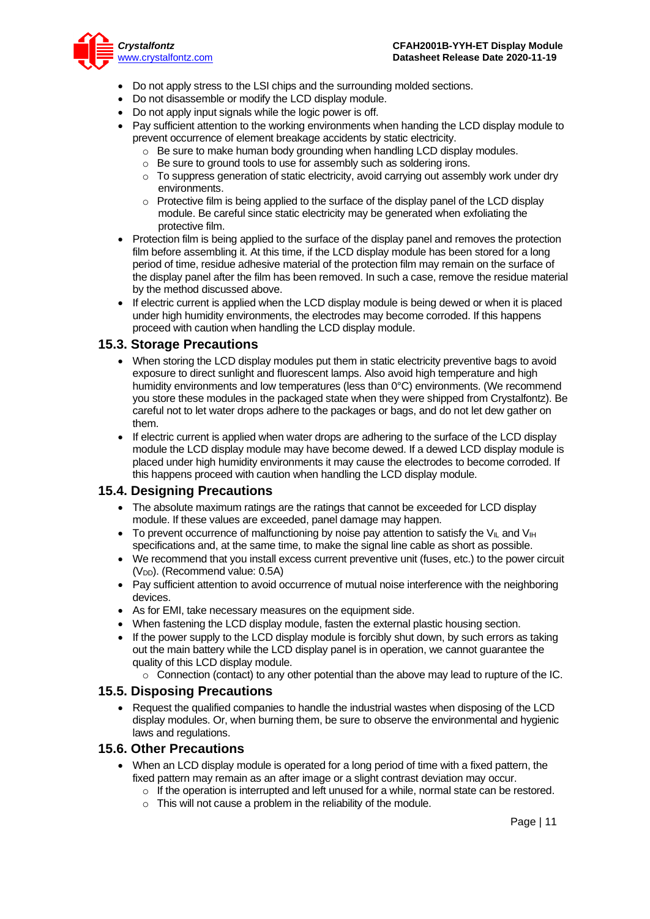

- Do not apply stress to the LSI chips and the surrounding molded sections.
- Do not disassemble or modify the LCD display module.
- Do not apply input signals while the logic power is off.
- Pay sufficient attention to the working environments when handing the LCD display module to prevent occurrence of element breakage accidents by static electricity.
	- o Be sure to make human body grounding when handling LCD display modules.
	- o Be sure to ground tools to use for assembly such as soldering irons.
	- $\circ$  To suppress generation of static electricity, avoid carrying out assembly work under dry environments.
	- $\circ$  Protective film is being applied to the surface of the display panel of the LCD display module. Be careful since static electricity may be generated when exfoliating the protective film.
- Protection film is being applied to the surface of the display panel and removes the protection film before assembling it. At this time, if the LCD display module has been stored for a long period of time, residue adhesive material of the protection film may remain on the surface of the display panel after the film has been removed. In such a case, remove the residue material by the method discussed above.
- If electric current is applied when the LCD display module is being dewed or when it is placed under high humidity environments, the electrodes may become corroded. If this happens proceed with caution when handling the LCD display module.

#### **15.3. Storage Precautions**

- When storing the LCD display modules put them in static electricity preventive bags to avoid exposure to direct sunlight and fluorescent lamps. Also avoid high temperature and high humidity environments and low temperatures (less than 0°C) environments. (We recommend you store these modules in the packaged state when they were shipped from Crystalfontz). Be careful not to let water drops adhere to the packages or bags, and do not let dew gather on them.
- If electric current is applied when water drops are adhering to the surface of the LCD display module the LCD display module may have become dewed. If a dewed LCD display module is placed under high humidity environments it may cause the electrodes to become corroded. If this happens proceed with caution when handling the LCD display module.

#### **15.4. Designing Precautions**

- The absolute maximum ratings are the ratings that cannot be exceeded for LCD display module. If these values are exceeded, panel damage may happen.
- To prevent occurrence of malfunctioning by noise pay attention to satisfy the V<sub>II</sub> and V<sub>IH</sub> specifications and, at the same time, to make the signal line cable as short as possible.
- We recommend that you install excess current preventive unit (fuses, etc.) to the power circuit  $(V_{DD})$ . (Recommend value: 0.5A)
- Pay sufficient attention to avoid occurrence of mutual noise interference with the neighboring devices.
- As for EMI, take necessary measures on the equipment side.
- When fastening the LCD display module, fasten the external plastic housing section.
- If the power supply to the LCD display module is forcibly shut down, by such errors as taking out the main battery while the LCD display panel is in operation, we cannot guarantee the quality of this LCD display module.
	- $\circ$  Connection (contact) to any other potential than the above may lead to rupture of the IC.

#### **15.5. Disposing Precautions**

• Request the qualified companies to handle the industrial wastes when disposing of the LCD display modules. Or, when burning them, be sure to observe the environmental and hygienic laws and regulations.

#### **15.6. Other Precautions**

- When an LCD display module is operated for a long period of time with a fixed pattern, the fixed pattern may remain as an after image or a slight contrast deviation may occur.
	- $\circ$  If the operation is interrupted and left unused for a while, normal state can be restored.
	- $\circ$  This will not cause a problem in the reliability of the module.